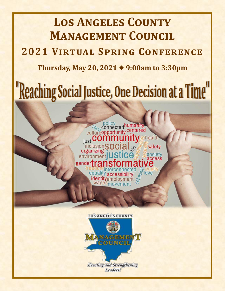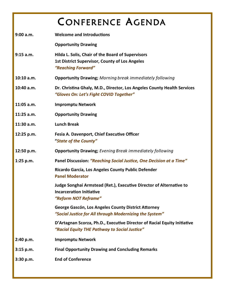## CONFERENCE AGENDA

| 9:00 a.m.    | <b>Welcome and Introductions</b>                                                                                                 |
|--------------|----------------------------------------------------------------------------------------------------------------------------------|
|              | <b>Opportunity Drawing</b>                                                                                                       |
| 9:15 a.m.    | Hilda L. Solis, Chair of the Board of Supervisors<br><b>1st District Supervisor, County of Los Angeles</b><br>"Reaching Forward" |
| 10:10 a.m.   | <b>Opportunity Drawing; Morning break immediately following</b>                                                                  |
| 10:40 a.m.   | Dr. Christina Ghaly, M.D., Director, Los Angeles County Health Services<br>"Gloves On: Let's Fight COVID Together"               |
| $11:05$ a.m. | <b>Impromptu Network</b>                                                                                                         |
| 11:25 a.m.   | <b>Opportunity Drawing</b>                                                                                                       |
| $11:30$ a.m. | <b>Lunch Break</b>                                                                                                               |
| 12:25 p.m.   | Fesia A. Davenport, Chief Executive Officer<br>"State of the County"                                                             |
|              |                                                                                                                                  |
| 12:50 p.m.   | <b>Opportunity Drawing; Evening Break immediately following</b>                                                                  |
| $1:25$ p.m.  | Panel Discussion: "Reaching Social Justice, One Decision at a Time"                                                              |
|              | Ricardo García, Los Angeles County Public Defender<br><b>Panel Moderator</b>                                                     |
|              | Judge Songhai Armstead (Ret.), Executive Director of Alternative to<br><b>Incarceration Initiative</b><br>"Reform NOT Reframe"   |
|              | George Gascón, Los Angeles County District Attorney<br>"Social Justice for All through Modernizing the System"                   |
|              | D'Artagnan Scorza, Ph.D., Executive Director of Racial Equity Initiative<br>"Racial Equity THE Pathway to Social Justice"        |
| 2:40 p.m.    | <b>Impromptu Network</b>                                                                                                         |
| 3:15 p.m.    | <b>Final Opportunity Drawing and Concluding Remarks</b>                                                                          |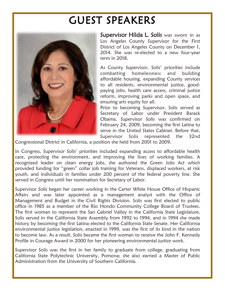## GUEST SPEAKERS



Supervisor Hilda L. Solis was sworn in as Los Angeles County Supervisor for the First District of Los Angeles County on December 1, 2014. She was re-elected to a new four-year term in 2018.

As County Supervisor, Solis' priorities include combatting homelessness and building affordable housing, expanding County services to all residents, environmental justice, goodpaying jobs, health care access, criminal justice reform, improving parks and open space, and ensuring arts equity for all.

Prior to becoming Supervisor, Solis served as Secretary of Labor under President Barack Obama. Supervisor Solis was confirmed on February 24, 2009, becoming the first Latina to serve in the United States Cabinet. Before that, Supervisor Solis represented the 32nd

Congressional District in California, a position she held from 2001 to 2009.

In Congress, Supervisor Solis' priorities included expanding access to affordable health care, protecting the environment, and improving the lives of working families. A recognized leader on clean energy jobs, she authored the Green Jobs Act which provided funding for "green" collar job training for Veterans, displaced workers, at risk youth, and individuals in families under 200 percent of the federal poverty line. She served in Congress until her nomination for Secretary of Labor.

Supervisor Solis began her career working in the Carter White House Office of Hispanic Affairs and was later appointed as a management analyst with the Office of Management and Budget in the Civil Rights Division. Solis was first elected to public office in 1985 as a member of the Rio Hondo Community College Board of Trustees. The first woman to represent the San Gabriel Valley in the California State Legislature, Solis served in the California State Assembly from 1992 to 1994, and in 1994 she made history by becoming the first Latina elected to the California State Senate. Her California environmental justice legislation, enacted in 1999, was the first of its kind in the nation to become law. As a result, Solis became the first woman to receive the John F. Kennedy Profile in Courage Award in 2000 for her pioneering environmental justice work.

Supervisor Solis was the first in her family to graduate from college, graduating from California State Polytechnic University, Pomona; she also earned a Master of Public Administration from the University of Southern California.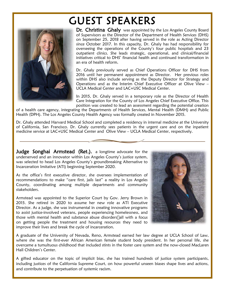# GUEST SPEAKERS



Dr. Christina Ghaly was appointed by the Los Angeles County Board of Supervisors as the Director of the Department of Health Services (DHS) on September 25, 2018 after having served in the role as Acting Director since October 2017. In this capacity, Dr. Ghaly has had responsibility for overseeing the operations of the County's four public hospitals and 23 outpatient clinics. She leads strategic, operational, and clinical/financial initiatives critical to DHS' financial health and continued transformation in an era of health reform.

Dr. Ghaly previously served as Chief Operations Officer for DHS from 2016 until her permanent appointment as Director. Her previous roles within DHS also include serving as the Deputy Director for Strategy and Operations and as the Interim Chief Executive Officer at Olive View – UCLA Medical Center and LAC+USC Medical Center.

In 2015, Dr. Ghaly served in a temporary role as the Director of Health Care Integration for the County of Los Angeles Chief Executive Office. This position was created to lead an assessment regarding the potential creation

of a health care agency, integrating the Departments of Health Services, Mental Health (DMH) and Public Health (DPH). The Los Angeles County Health Agency was formally created in November 2015.

Dr. Ghaly attended Harvard Medical School and completed a residency in internal medicine at the University of California, San Francisco. Dr. Ghaly currently sees patients in the urgent care and on the inpatient medicine service at LAC+USC Medical Center and Olive View – UCLA Medical Center, respectively.

Judge Songhai Armstead (Ret.), a longtime advocate for the underserved and an innovator within Los Angeles County's justice system, was selected to head Los Angeles County's groundbreaking Alternative to Incarceration Imitative (ATI) beginning September 2020.

As the office's first executive director, she oversees implementation of recommendations to make "care first, jails last" a reality in Los Angeles County, coordinating among multiple departments and community stakeholders.

Armstead was appointed to the Superior Court by Gov. Jerry Brown in 2015. She retired in 2020 to assume her new role as ATI Executive Director. As a judge, she was instrumental in creating innovative programs to assist justice-involved veterans, people experiencing homelessness, and those with mental health and substance abuse disorders all with a focus on getting people the treatment and housing resources they need to improve their lives and break the cycle of incarceration.



A graduate of the University of Nevada, Reno, Armstead earned her law degree at UCLA School of Law, where she was the first-ever African American female student body president. In her personal life, she overcame a tumultuous childhood that included stints in the foster care system and the now-closed MacLaren Hall Children's Center.

A gifted educator on the topic of implicit bias, she has trained hundreds of justice system participants, including justices of the California Supreme Court, on how powerful unseen biases shape lives and actions, and contribute to the perpetuation of systemic racism.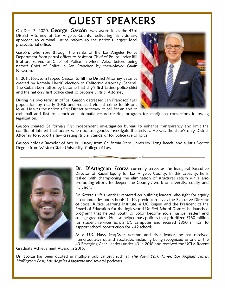# GUEST SPEAKERS

On Dec. 7, 2020, George Gascón was sworn in as the 43rd District Attorney of Los Angeles County, delivering his visionary approach to criminal justice reform to the nation's largest local prosecutorial office.

Gascón, who rose through the ranks of the Los Angeles Police Department from patrol officer to Assistant Chief of Police under Bill Bratton, served as Chief of Police in Mesa, Ariz., before being named Chief of Police in San Francisco by then-Mayor Gavin Newsom.

In 2011, Newsom tapped Gascón to fill the District Attorney vacancy created by Kamala Harris' election to California Attorney General. The Cuban-born attorney became that city's first Latino police chief and the nation's first police chief to become District Attorney.

During his two terms in office, Gascón decreased San Francisco's jail population by nearly 30% and reduced violent crime to historic lows. He was the nation's first District Attorney to call for an end to



cash bail and first to launch an automatic record-clearing program for marijuana convictions following legalization.

Gascón created California's first independent investigation bureau to enhance transparency and limit the conflict of interest that occurs when police agencies investigate themselves. He was the state's only District Attorney to support a law creating stricter standards for police use of force.

Gascón holds a Bachelor of Arts in History from California State University, Long Beach, and a Juris Doctor Degree from Western State University, College of Law.



Dr. D'Artagnan Scorza currently serves as the inaugural Executive Director of Racial Equity for Los Angeles County. In this capacity, he is tasked with championing the elimination of structural racism while also promoting efforts to deepen the County's work on diversity, equity and inclusion.

Dr. Scorza's life's work is centered on building leaders who fight for equity in communities and schools. In his previous roles as the Executive Director of Social Justice Learning Institute, a UC Regent and the President of the Board of Education for the Inglewood Unified School District, he launched programs that helped youth of color become social justice leaders and college graduates. He also helped pass policies that prioritized \$160 million for student services across UC campuses and secured \$350 million to support school construction for k-12 schools.

As a U.S. Navy Iraq-War Veteran and civic leader, he has received numerous awards and accolades, including being recognized as one of the 40 Emerging Civic Leaders under 40 in 2018 and received the UCLA Recent

Graduate Achievement Award in 2016.

Dr. Scorza has been quoted in multiple publications, such as The New York Times, Los Angeles Times, Huffington Post, Los Angeles Magazine and several podcasts.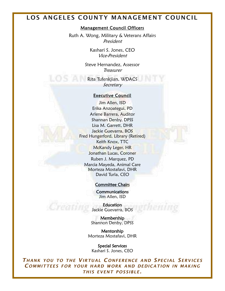### **LOS ANGELES COUNTY MANAGEMENT COUNCIL**

#### Management Council Officers

Ruth A. Wong, Military & Veterans Affairs President

> Kashari S. Jones, CEO Vice-President

Steve Hernandez, Assessor **Treasurer** 

Rita Tufenkjian, WDACS Secretary

#### Executive Council

Jim Allen, ISD Erika Anzoategui, PD Arlene Barrera, Auditor Shannan Denby, DPSS Lisa M. Garrett, DHR Jackie Guevarra, BOS Fred Hungerford, Library (Retired) Keith Knox, TTC McKandy Leger, HR Jonathan Lucas, Coroner Ruben J. Marquez, PD Marcia Mayeda, Animal Care Morteza Mostafavi, DHR David Turla, CEO

### Committee Chairs

**Communications** Jim Allen, ISD

**Education** Jackie Guevarra, BOS

Membership Shannon Denby, DPSS

Mentorship Morteza Mostafavi, DHR

Special Services Kashari S. Jones, CEO

*T HANK YOU TO THE VIRTUAL C ONFERENCE AND S PECIAL SERVICES C OMMITTEES FOR YOUR HARD WORK AND DEDICATION IN MAKING THIS EVENT POSSIBLE.*